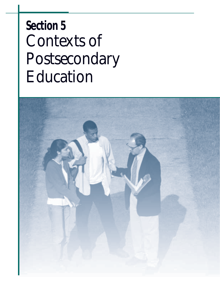# **Section 5** *Contexts of Postsecondary Education*

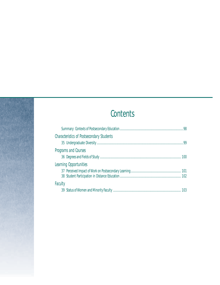# **Contents**

| <b>Characteristics of Postsecondary Students</b> |    |
|--------------------------------------------------|----|
|                                                  | 99 |
| Programs and Courses                             |    |
|                                                  |    |
| Learning Opportunities                           |    |
|                                                  |    |
|                                                  |    |
| Faculty                                          |    |
|                                                  |    |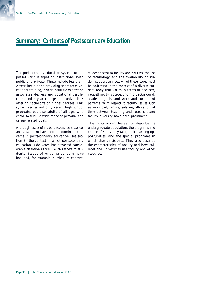#### **Summary: Contexts of Postsecondary Education**

The postsecondary education system encompasses various types of institutions, both public and private. These include less-than-2-year institutions providing short-term vocational training, 2-year institutions offering associate's degrees and vocational certificates, and 4-year colleges and universities offering bachelor's or higher degrees. This system serves not only recent high school graduates but also adults of all ages who enroll to fulfill a wide range of personal and career-related goals.

Although issues of student access, persistence, and attainment have been predominant concerns in postsecondary education (see section 3), the context in which postsecondary education is delivered has attracted considerable attention as well. With respect to students, issues of ongoing concern have included, for example, curriculum content,

student access to faculty and courses, the use of technology, and the availability of student support services. All of these issues must be addressed in the context of a diverse student body that varies in terms of age, sex, race/ethnicity, socioeconomic background, academic goals, and work and enrollment patterns. With respect to faculty, issues such as workload, tenure, salaries, allocation of time between teaching and research, and faculty diversity have been prominent.

The indicators in this section describe the undergraduate population, the programs and course of study they take, their learning opportunities, and the special programs in which they participate. They also describe the characteristics of faculty and how colleges and universities use faculty and other resources.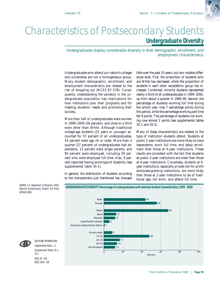# *Characteristics of Postsecondary Students*

#### **Undergraduate Diversity**

*Undergraduates display considerable diversity in their demographic, enrollment, and employment characteristics.*

Undergraduates who attend our nation's colleges and universities are not a homogeneous group. Many student demographic, enrollment, and employment characteristics are related to the risk of dropping out (NCES 97–578). Consequently, understanding the variation in the undergraduate population has implications for how institutions plan their programs and for meeting students' needs and promoting their success.

More than half of undergraduates were women in 1999–2000 (56 percent), and close to a third were other than White. Although traditional college-age students (23 years or younger) accounted for 57 percent of all undergraduates, 43 percent were age 24 or older. More than a quarter (27 percent) of undergraduates had dependents, 13 percent were single parents, and 80 percent were employed, including 39 percent who were employed full time. Also, 9 percent reported having some type of disability (see supplemental table 35-1).

In general, the distribution of students according to the characteristics just mentioned has changed little over the past 10 years, but two notable differences exist. First, the proportion of students who are White has decreased, while the proportion of students in each other racial/ethnic group has increased. Combined, minority students represented nearly a third of all undergraduates in 1999–2000, up from about a quarter in 1989–90. Second, the percentage of students working full time during the school year rose 7 percentage points during this period, while the percentage working part time fell 9 points. The percentage of students not working rose almost 2 points (see supplemental tables 35-1 and 35-2).

Many of these characteristics are related to the type of institution students attend. Students at public 2-year institutions are more likely to have dependents, work full time, and delay enrollment than those at 4-year institutions. These results are consistent with the fact that students at public 2-year institutions are older than those at 4-year institutions. Conversely, students at 4 year institutions, especially private not-for-profit doctorate-granting institutions, are more likely than those at 2-year institutions to be of traditional age, not work, and attend full time.



**UNDERGRADUATE DIVERSITY: Percentage of undergraduates with selected student characteristics: 1999–2000**

SOURCE: U.S. Department of Education, NCES. National Postsecondary Student Aid Study (NPSAS:2000).



Supplemental Notes 1, 9 Supplemental Tables 35-1, 35-2 NCES 97–578, NCES 2002–168

FOR MORE INFORMATION: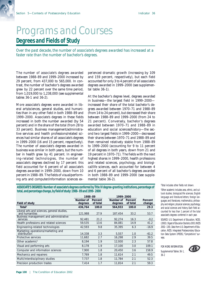# *Programs and Courses* **Degrees and Fields of Study**

*Over the past decade, the number of associate's degrees awarded has increased at a faster rate than the number of bachelor's degrees.*

The number of associate's degrees awarded between 1988–89 and 1999–2000 increased by 29 percent, from 437,000 to 565,000. In contrast, the number of bachelor's degrees awarded grew by 22 percent over the same time period, from 1,019,000 to 1,238,000 (see supplemental tables 36-1 and 36-2).

More associate's degrees were awarded in liberal arts/sciences, general studies, and humanities than in any other field in both 1988–89 and 1999–2000. Associate's degrees in these fields increased in both the number awarded (by 54 percent) and in the share of the total (from 28 to 33 percent). Business management/administrative services and health professions/related sciences had similar shares of all associate's degrees in 1999–2000 (16 and 15 percent, respectively). The number of associate's degrees awarded in business was similar in both years, but the number in health grew by 41 percent. In engineering-related technologies, the number of associate's degrees declined by 17 percent: this field accounted for 6 percent of all associate's degrees awarded in 1999–2000, down from 10 percent in 1988–89. The fields of visual/performing arts and computer/information sciences experienced dramatic growth (increasing by 109 and 159 percent, respectively), but each field accounted for only 3 to 4 percent of all associate's degrees awarded in 1999–2000 (see supplemental table 36-1).

At the bachelor's degree level, degrees awarded in business—the largest field in 1999–2000 increased their share of the total bachelor's degrees awarded between 1970–71 and 1988–89 (from 14 to 24 percent), but decreased their share between 1988–89 and 1999–2000 (from 24 to 21 percent). Conversely, bachelor's degrees awarded between 1970–71 and 1988–89 in education and social sciences/history—the second two largest fields in 1999–2000—decreased their shares between 1970–71 and 1988–89 and then remained relatively stable from 1988–89 to 1999–2000 (accounting for 9 to 11 percent of all degrees in both years, down from 21 and 19 percent in 1970–71). The fields with the next highest shares in 1999–2000, health professions and related sciences, psychology, and biological/life sciences, each accounted for between 4 and 6 percent of all bachelor's degrees awarded in both 1988–89 and 1999–2000 (see supplemental table 36-2).

**ASSOCIATE'S DEGREES: Number of associate's degrees conferred by Title IV degree-granting institutions, percentage of total, and percentage change, by field of study: 1988–89 and 1999–2000**

|                                                               | 1988-89              |                     |                      | 1999-2000           |                   |  |
|---------------------------------------------------------------|----------------------|---------------------|----------------------|---------------------|-------------------|--|
| Field of study                                                | Number of<br>degrees | Percent<br>of total | Number of<br>degrees | Percent<br>of total | Percent<br>change |  |
| Total <sup>1</sup>                                            | 436,764              | 100.0               | 564,933              | 100.0               | 29.3              |  |
| Liberal arts and sciences, general studies,<br>and humanities | 121,988              | 27.9                | 187,454              | 33.2                | 53.7              |  |
| Business management and administrative<br>services            | 92.481               | 21.2                | 92,274               | 16.3                | $-0.2$            |  |
| Health professions and related sciences                       | 59,535               | 13.6                | 84,081               | 14.9                | 41.2              |  |
| Engineering-related technologies                              | 42.593               | 9.8                 | 35,395               | 6.3                 | $-16.9$           |  |
| Marketing operations/marketing and<br>distribution            | 14,338               | 3.3                 | 5,557                | 1.0                 | $-61.2$           |  |
| Protective services                                           | 11,682               | 2.7                 | 16,298               | 2.9                 | 39.5              |  |
| Other academic <sup>2</sup>                                   | 8,194                | 1.9                 | 12,930               | 2.3                 | 57.8              |  |
| Visual and performing arts                                    | 8,178                | 1.9                 | 17,100               | 3.0                 | 109.1             |  |
| Computer and information sciences                             | 7,900                | 1.8                 | 20,450               | 3.6                 | 158.9             |  |
| Mechanics and repairers                                       | 7,769                | 1.8                 | 11.614               | 2.1                 | 49.5              |  |
| Multi/interdisciplinary studies                               | 7.737                | 1.8                 | 11.784               | 2.1                 | 52.3              |  |
| Precision production trades                                   | 7.414                | 1.7                 | 11.814               | 2.1                 | 59.3              |  |

1 Total includes other fields not shown.

2 Other academic includes area, ethnic, and cultural studies; biological/life sciences; English language and literature/letters; foreign languages and literatures; mathematics; philosophy and religion; physical sciences; psychology; and social sciences and history. Each field accounted for less than 1 percent of the total associate's degrees conferred in each year.

SOURCE: U.S. Department of Education, NCES. (2002). *Digest of Education Statistics 2001* (NCES 2002–130). Data from U.S. Department of Education, NCES. Integrated Postsecondary Education Data System (IPEDS), "Completions" surveys.

FOR MORE INFORMATION: Supplemental Tables 36-1, 36-2

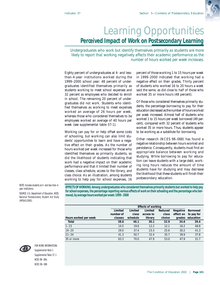# *Learning Opportunities* **Perceived Impact of Work on Postsecondary Learning**

*Undergraduates who work but identify themselves primarily as students are more likely to report that working negatively affects their academic performance as the number of hours worked per week increases.*

Eighty percent of undergraduates at 4- and lessthan-4-year institutions worked during the 1999–2000 school year: 48 percent of undergraduates identified themselves primarily as students working to meet school expenses and 32 percent as employees who decided to enroll in school. The remaining 20 percent of undergraduates did not work. Students who identified themselves as working to meet expenses worked an average of 26 hours per week, whereas those who considered themselves to be employees worked an average of 40 hours per week (see supplemental table 37-1).

Working can pay for or help offset some costs of schooling, but working can also limit students' opportunities to learn and have a negative effect on their grades. As the number of hours worked per week increased for those who identified themselves as primarily students, so did the likelihood of students indicating that work had a negative impact on their academic performance and that it limited their number of classes, class schedule, access to the library, and class choice. As an illustration, among students working to help pay for school expenses, 16

percent of those working 1 to 15 hours per week in 1999–2000 indicated that working had a negative effect on their grades. Thirty percent of students who worked 16 to 20 hours a week said the same, as did close to half of those who worked 35 or more hours (48 percent).

Of those who considered themselves primarily students, the percentage borrowing to pay for their education decreased as the number of hours worked per week increased. Almost half of students who worked 1 to 15 hours per week borrowed (49 percent), compared with 32 percent of students who worked 35 or more hours. Thus, students appear to be working as a substitute for borrowing.

Other research (NCES 98–088) has found a negative relationship between hours worked and persistence. Consequently, students must find an appropriate balance between working and studying. While borrowing to pay for education can leave students with a large debt, working long hours reduces the amount of time students have for studying and may decrease the likelihood that these students will finish their postsecondary education.

NOTE: Includes students at 4- and less-than-4 year institutions.

SOURCE: U.S. Department of Education, NCES. National Postsecondary Student Aid Study (NPSAS:2000).

**EFFECTS OF WORKING: Among undergraduates who considered themselves primarily students but worked to help pay for school expenses, the percentage reporting various effects of work on their schooling and the percentage who borrowed, by average hours worked per week: 1999–2000**

|                       | Limited   | Limited  | Limited   | Reduced | Negative  | <b>Borrowed</b>  |  |  |  |
|-----------------------|-----------|----------|-----------|---------|-----------|------------------|--|--|--|
|                       | number of | class    | access to | class   | effect on | to pay for       |  |  |  |
| Hours worked per week | classes   | schedule | library   | choice  |           | grades education |  |  |  |
| Total                 | 38.6      | 46.1     | 30.1      | 32.9    | 34.6      | 39.4             |  |  |  |
| $1 - 15$              | 14.5      | 19.6     | 12.2      | 12.1    | 16.2      | 48.8             |  |  |  |
| $16 - 20$             | 29.0      | 37.4     | 23.3      | 25.6    | 30.2      | 41.3             |  |  |  |
| $21 - 34$             | 41.3      | 50.7     | 32.4      | 35.7    | 39.9      | 37.8             |  |  |  |
| 35 or more            | 63.3      | 70.0     | 47.9      | 53.0    | 47.9      | 31.7             |  |  |  |



FOR MORE INFORMATION: Supplemental Note 1 Supplemental Table 37-1 NCES 98–084, NCES 98–088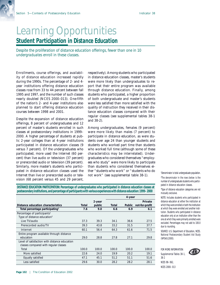# *Learning Opportunities* **Student Participation in Distance Education**

*Despite the proliferation of distance education offerings, fewer than one in 10 undergraduates enroll in these classes.*

Enrollments, course offerings, and availability of distance education increased rapidly during the 1990s. The percentage of 2- and 4 year institutions offering distance education classes rose from 33 to 44 percent between fall 1995 and 1997, and the number of such classes nearly doubled (NCES 2000–013). One-fifth of the nation's 2- and 4-year institutions also planned to start offering distance education courses between 1998 and 2001.

Despite the expansion of distance education offerings, 8 percent of undergraduates and 12 percent of master's students enrolled in such classes at postsecondary institutions in 1999– 2000. A higher percentage of students at public 2-year colleges than at 4-year institutions participated in distance education classes (9 versus 7 percent). Of the undergraduates who participated, more used the Internet (60 percent) than live audio or television (37 percent) or prerecorded audio or television (39 percent). Similarly, more master's students who participated in distance education classes used the Internet than live or prerecorded audio or television (68 percent versus 45 and 29 percent,

respectively). Among students who participated in distance education classes, master's students were more likely than undergraduates to report that their entire program was available through distance education. Finally, among students who participated, a higher proportion of both undergraduate and master's students were less satisfied than more satisfied with the quality of instruction they received in their distance education classes compared with their regular classes (see supplemental tables 38-1 and 38-2).

Among undergraduates, females (9 percent) were more likely than males (7 percent) to participate in distance education, as were students over age 24 than younger students and students who worked part time than students who worked full time (although some of these characteristics may be interrelated). Undergraduates who considered themselves "employees who study" were more likely to participate than students who considered themselves either "students who work" or "students who do not work" (see supplemental table 38-1).

**DISTANCE EDUCATION PARTICIPATION: Percentage of undergraduates who participated in distance education classes at postsecondary institutions, and percentage of participants with various experiences with distance education: 1999–2000**

|                                               |       |        | 4-year  |               |                |  |
|-----------------------------------------------|-------|--------|---------|---------------|----------------|--|
|                                               |       | 2-year | Private |               |                |  |
| Distance education characteristics            | Total | public | Total   | <b>Public</b> | not-for-profit |  |
| Total percentage participating <sup>1</sup>   | 7.6   | 9.0    | 6.6     | 6.9           | 6.1            |  |
| Percentage of participants <sup>2</sup>       |       |        |         |               |                |  |
| Type of distance education <sup>3</sup>       |       |        |         |               |                |  |
| Live TV/audio                                 | 37.3  | 39.3   | 34.1    | 36.6          | 27.5           |  |
| Prerecorded audio/TV                          | 39.3  | 43.8   | 33.2    | 31.5          | 37.7           |  |
| Internet                                      | 60.1  | 56.4   | 64.3    | 61.6          | 71.5           |  |
| Entire program available through distance     |       |        |         |               |                |  |
| education                                     | 29.0  | 28.8   | 27.8    | 27.1          | 29.8           |  |
| Level of satisfaction with distance education |       |        |         |               |                |  |
| classes compared with regular classes         |       |        |         |               |                |  |
| Total                                         | 100.0 | 100.0  | 100.0   | 100.0         | 100.0          |  |
| More satisfied                                | 22.6  | 24.0   | 19.9    | 20.2          | 19.1           |  |
| Equally satisfied                             | 47.1  | 45.1   | 51.2    | 51.1          | 51.6           |  |
| Less satisfied                                | 29.6  | 30.0   | 28.2    | 28.2          | 28.1           |  |

Denominator is total undergraduate population. 2 The denominator in the rows below is the number of undergraduate students who participated in distance education classes.

3 Type of distance education categories are not mutually exclusive.

NOTE: Includes students who participated in distance education at either the institution at which they were enrolled or both the institution at which they were enrolled and another institution. Students who participated in distance education only at an institution other than the one at which they were primarily enrolled were excluded. Percentages may not add to 100.0 due to rounding.

SOURCE: U.S. Department of Education, NCES. National Postsecondary Student Aid Study (NPSAS:2000).

FOR MORE INFORMATION: Supplemental Tables 38-1, 38-2



NCES 98–062, NCES 2000–013